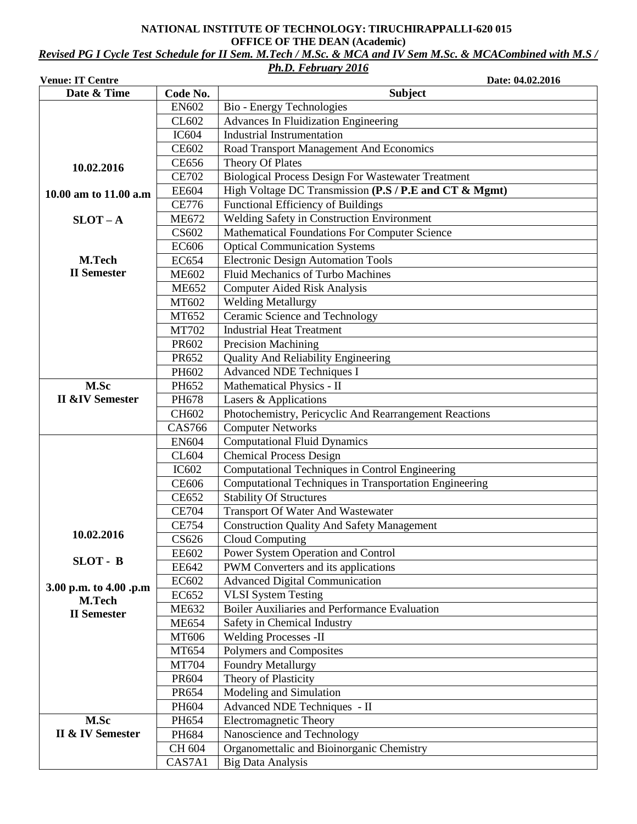#### **NATIONAL INSTITUTE OF TECHNOLOGY: TIRUCHIRAPPALLI-620 015 OFFICE OF THE DEAN (Academic)**

*Revised PG I Cycle Test Schedule for II Sem. M.Tech / M.Sc. & MCA and IV Sem M.Sc. & MCACombined with M.S /* 

# *Ph.D. February 2016*

| <b>Venue: IT Centre</b>    |               | Date: 04.02.2016                                          |  |  |  |  |  |
|----------------------------|---------------|-----------------------------------------------------------|--|--|--|--|--|
| Date & Time                | Code No.      | <b>Subject</b>                                            |  |  |  |  |  |
|                            | <b>EN602</b>  | Bio - Energy Technologies                                 |  |  |  |  |  |
|                            | CL602         | <b>Advances In Fluidization Engineering</b>               |  |  |  |  |  |
|                            | <b>IC604</b>  | <b>Industrial Instrumentation</b>                         |  |  |  |  |  |
|                            | <b>CE602</b>  | Road Transport Management And Economics                   |  |  |  |  |  |
| 10.02.2016                 | <b>CE656</b>  | Theory Of Plates                                          |  |  |  |  |  |
|                            | <b>CE702</b>  | <b>Biological Process Design For Wastewater Treatment</b> |  |  |  |  |  |
| 10.00 am to 11.00 a.m      | <b>EE604</b>  | High Voltage DC Transmission (P.S / P.E and CT & Mgmt)    |  |  |  |  |  |
|                            | <b>CE776</b>  | Functional Efficiency of Buildings                        |  |  |  |  |  |
| $SLOT - A$                 | <b>ME672</b>  | Welding Safety in Construction Environment                |  |  |  |  |  |
|                            | CS602         | <b>Mathematical Foundations For Computer Science</b>      |  |  |  |  |  |
|                            | <b>EC606</b>  | <b>Optical Communication Systems</b>                      |  |  |  |  |  |
| M.Tech                     | <b>EC654</b>  | <b>Electronic Design Automation Tools</b>                 |  |  |  |  |  |
| <b>II</b> Semester         | <b>ME602</b>  | Fluid Mechanics of Turbo Machines                         |  |  |  |  |  |
|                            | <b>ME652</b>  | <b>Computer Aided Risk Analysis</b>                       |  |  |  |  |  |
|                            | MT602         | Welding Metallurgy                                        |  |  |  |  |  |
|                            | MT652         | Ceramic Science and Technology                            |  |  |  |  |  |
|                            | <b>MT702</b>  | <b>Industrial Heat Treatment</b>                          |  |  |  |  |  |
|                            | PR602         | <b>Precision Machining</b>                                |  |  |  |  |  |
|                            | PR652         | <b>Quality And Reliability Engineering</b>                |  |  |  |  |  |
|                            | PH602         | <b>Advanced NDE Techniques I</b>                          |  |  |  |  |  |
| M.Sc                       | PH652         | Mathematical Physics - II                                 |  |  |  |  |  |
| <b>II &amp;IV Semester</b> | PH678         | Lasers & Applications                                     |  |  |  |  |  |
|                            | CH602         | Photochemistry, Pericyclic And Rearrangement Reactions    |  |  |  |  |  |
|                            | <b>CAS766</b> | <b>Computer Networks</b>                                  |  |  |  |  |  |
|                            | <b>EN604</b>  | <b>Computational Fluid Dynamics</b>                       |  |  |  |  |  |
|                            | CL604         | <b>Chemical Process Design</b>                            |  |  |  |  |  |
|                            | IC602         | Computational Techniques in Control Engineering           |  |  |  |  |  |
|                            | <b>CE606</b>  | Computational Techniques in Transportation Engineering    |  |  |  |  |  |
|                            | <b>CE652</b>  | <b>Stability Of Structures</b>                            |  |  |  |  |  |
|                            | <b>CE704</b>  | <b>Transport Of Water And Wastewater</b>                  |  |  |  |  |  |
|                            | <b>CE754</b>  | <b>Construction Quality And Safety Management</b>         |  |  |  |  |  |
| 10.02.2016                 | CS626         | Cloud Computing                                           |  |  |  |  |  |
|                            | <b>EE602</b>  | Power System Operation and Control                        |  |  |  |  |  |
| SLOT - B                   | <b>EE642</b>  | PWM Converters and its applications                       |  |  |  |  |  |
|                            | EC602         | <b>Advanced Digital Communication</b>                     |  |  |  |  |  |
| 3.00 p.m. to 4.00 .p.m     | EC652         | <b>VLSI</b> System Testing                                |  |  |  |  |  |
| M.Tech                     | <b>ME632</b>  | Boiler Auxiliaries and Performance Evaluation             |  |  |  |  |  |
| <b>II</b> Semester         | <b>ME654</b>  | Safety in Chemical Industry                               |  |  |  |  |  |
|                            | MT606         | <b>Welding Processes -II</b>                              |  |  |  |  |  |
|                            | MT654         | Polymers and Composites                                   |  |  |  |  |  |
|                            | <b>MT704</b>  | <b>Foundry Metallurgy</b>                                 |  |  |  |  |  |
|                            | PR604         | Theory of Plasticity                                      |  |  |  |  |  |
|                            | PR654         | Modeling and Simulation                                   |  |  |  |  |  |
|                            | PH604         | Advanced NDE Techniques - II                              |  |  |  |  |  |
| M.Sc                       | PH654         | <b>Electromagnetic Theory</b>                             |  |  |  |  |  |
| II & IV Semester           | PH684         | Nanoscience and Technology                                |  |  |  |  |  |
|                            | CH 604        | Organomettalic and Bioinorganic Chemistry                 |  |  |  |  |  |
|                            | CAS7A1        | <b>Big Data Analysis</b>                                  |  |  |  |  |  |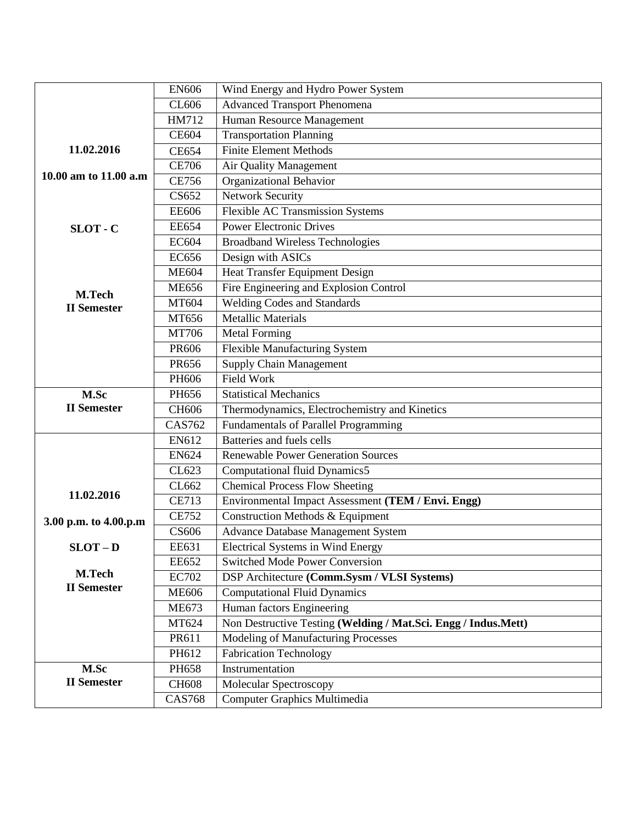|                                     | <b>EN606</b>                                 | Wind Energy and Hydro Power System                             |  |  |  |  |  |
|-------------------------------------|----------------------------------------------|----------------------------------------------------------------|--|--|--|--|--|
|                                     | CL606                                        | <b>Advanced Transport Phenomena</b>                            |  |  |  |  |  |
|                                     | HM712                                        | Human Resource Management                                      |  |  |  |  |  |
|                                     | <b>CE604</b>                                 | <b>Transportation Planning</b>                                 |  |  |  |  |  |
| 11.02.2016                          | <b>CE654</b>                                 | <b>Finite Element Methods</b>                                  |  |  |  |  |  |
|                                     | <b>CE706</b>                                 | Air Quality Management                                         |  |  |  |  |  |
| 10.00 am to 11.00 a.m               | <b>CE756</b>                                 | Organizational Behavior                                        |  |  |  |  |  |
|                                     | CS652                                        | <b>Network Security</b>                                        |  |  |  |  |  |
|                                     | <b>EE606</b>                                 | <b>Flexible AC Transmission Systems</b>                        |  |  |  |  |  |
| SLOT - C                            | <b>EE654</b>                                 | <b>Power Electronic Drives</b>                                 |  |  |  |  |  |
|                                     | <b>EC604</b>                                 | <b>Broadband Wireless Technologies</b>                         |  |  |  |  |  |
|                                     | <b>EC656</b>                                 | Design with ASICs                                              |  |  |  |  |  |
|                                     | <b>ME604</b>                                 | Heat Transfer Equipment Design                                 |  |  |  |  |  |
| M.Tech                              | <b>ME656</b>                                 | Fire Engineering and Explosion Control                         |  |  |  |  |  |
| <b>II</b> Semester                  | MT604                                        | <b>Welding Codes and Standards</b>                             |  |  |  |  |  |
|                                     | MT656                                        | <b>Metallic Materials</b>                                      |  |  |  |  |  |
|                                     | MT706                                        | <b>Metal Forming</b>                                           |  |  |  |  |  |
|                                     | PR606                                        | <b>Flexible Manufacturing System</b>                           |  |  |  |  |  |
|                                     | PR656                                        | <b>Supply Chain Management</b>                                 |  |  |  |  |  |
|                                     | PH606                                        | <b>Field Work</b>                                              |  |  |  |  |  |
| M.Sc                                | PH656                                        | <b>Statistical Mechanics</b>                                   |  |  |  |  |  |
| <b>II</b> Semester                  | CH606                                        | Thermodynamics, Electrochemistry and Kinetics                  |  |  |  |  |  |
|                                     | <b>CAS762</b>                                | <b>Fundamentals of Parallel Programming</b>                    |  |  |  |  |  |
|                                     | EN612                                        | Batteries and fuels cells                                      |  |  |  |  |  |
|                                     | <b>EN624</b>                                 | <b>Renewable Power Generation Sources</b>                      |  |  |  |  |  |
|                                     | CL623                                        | Computational fluid Dynamics5                                  |  |  |  |  |  |
| 11.02.2016                          | CL662                                        | <b>Chemical Process Flow Sheeting</b>                          |  |  |  |  |  |
|                                     | <b>CE713</b>                                 | Environmental Impact Assessment (TEM / Envi. Engg)             |  |  |  |  |  |
| 3.00 p.m. to 4.00.p.m               | <b>CE752</b>                                 | <b>Construction Methods &amp; Equipment</b>                    |  |  |  |  |  |
|                                     | CS606                                        | Advance Database Management System                             |  |  |  |  |  |
| $SLOT - D$                          | EE631                                        | <b>Electrical Systems in Wind Energy</b>                       |  |  |  |  |  |
|                                     | <b>EE652</b>                                 | <b>Switched Mode Power Conversion</b>                          |  |  |  |  |  |
| <b>M.Tech</b><br><b>II</b> Semester | <b>EC702</b>                                 | DSP Architecture (Comm.Sysm / VLSI Systems)                    |  |  |  |  |  |
|                                     | <b>ME606</b>                                 | <b>Computational Fluid Dynamics</b>                            |  |  |  |  |  |
|                                     | <b>ME673</b>                                 | Human factors Engineering                                      |  |  |  |  |  |
|                                     | MT624                                        | Non Destructive Testing (Welding / Mat.Sci. Engg / Indus.Mett) |  |  |  |  |  |
|                                     | Modeling of Manufacturing Processes<br>PR611 |                                                                |  |  |  |  |  |
|                                     | PH612                                        | <b>Fabrication Technology</b>                                  |  |  |  |  |  |
| M.Sc                                | PH658                                        | Instrumentation                                                |  |  |  |  |  |
| <b>II</b> Semester<br><b>CH608</b>  |                                              | Molecular Spectroscopy                                         |  |  |  |  |  |
|                                     | <b>CAS768</b>                                | Computer Graphics Multimedia                                   |  |  |  |  |  |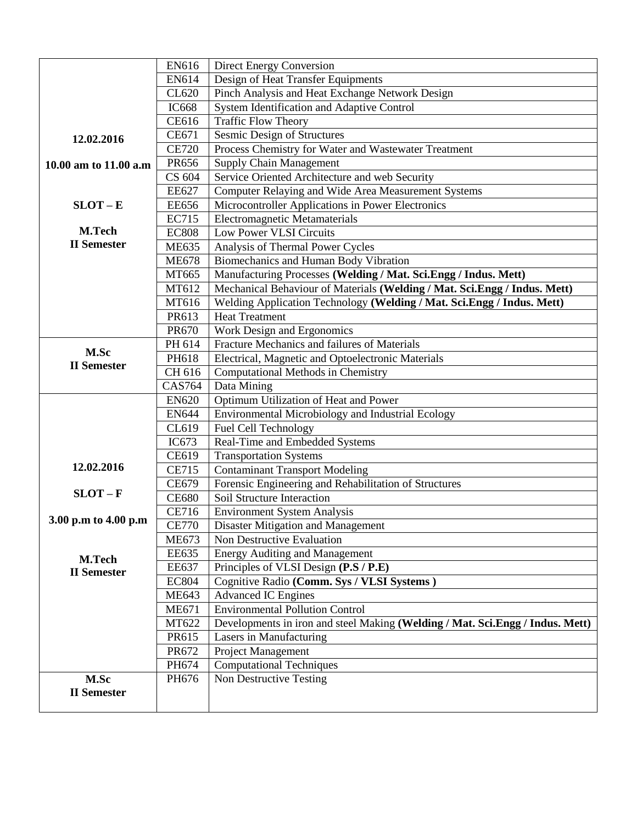|                            | EN616         | <b>Direct Energy Conversion</b>                                               |  |  |  |  |  |  |
|----------------------------|---------------|-------------------------------------------------------------------------------|--|--|--|--|--|--|
|                            | EN614         | Design of Heat Transfer Equipments                                            |  |  |  |  |  |  |
|                            | CL620         | Pinch Analysis and Heat Exchange Network Design                               |  |  |  |  |  |  |
|                            | <b>IC668</b>  | System Identification and Adaptive Control                                    |  |  |  |  |  |  |
|                            | <b>CE616</b>  | <b>Traffic Flow Theory</b>                                                    |  |  |  |  |  |  |
| 12.02.2016                 | CE671         | Sesmic Design of Structures                                                   |  |  |  |  |  |  |
|                            | <b>CE720</b>  | Process Chemistry for Water and Wastewater Treatment                          |  |  |  |  |  |  |
| 10.00 am to 11.00 a.m      | PR656         | <b>Supply Chain Management</b>                                                |  |  |  |  |  |  |
|                            | CS 604        | Service Oriented Architecture and web Security                                |  |  |  |  |  |  |
|                            | <b>EE627</b>  | <b>Computer Relaying and Wide Area Measurement Systems</b>                    |  |  |  |  |  |  |
| $SLOT - E$                 | <b>EE656</b>  | Microcontroller Applications in Power Electronics                             |  |  |  |  |  |  |
|                            | <b>EC715</b>  | <b>Electromagnetic Metamaterials</b>                                          |  |  |  |  |  |  |
| M.Tech                     | <b>EC808</b>  | Low Power VLSI Circuits                                                       |  |  |  |  |  |  |
| <b>II</b> Semester         | <b>ME635</b>  | Analysis of Thermal Power Cycles                                              |  |  |  |  |  |  |
|                            | <b>ME678</b>  | Biomechanics and Human Body Vibration                                         |  |  |  |  |  |  |
|                            | MT665         | Manufacturing Processes (Welding / Mat. Sci.Engg / Indus. Mett)               |  |  |  |  |  |  |
|                            | MT612         | Mechanical Behaviour of Materials (Welding / Mat. Sci.Engg / Indus. Mett)     |  |  |  |  |  |  |
|                            | MT616         | Welding Application Technology (Welding / Mat. Sci.Engg / Indus. Mett)        |  |  |  |  |  |  |
|                            | PR613         | <b>Heat Treatment</b>                                                         |  |  |  |  |  |  |
|                            | PR670         | Work Design and Ergonomics                                                    |  |  |  |  |  |  |
|                            | PH 614        | Fracture Mechanics and failures of Materials                                  |  |  |  |  |  |  |
| M.Sc<br><b>II</b> Semester | PH618         | Electrical, Magnetic and Optoelectronic Materials                             |  |  |  |  |  |  |
|                            | CH 616        | Computational Methods in Chemistry                                            |  |  |  |  |  |  |
|                            | <b>CAS764</b> | Data Mining                                                                   |  |  |  |  |  |  |
|                            | <b>EN620</b>  | Optimum Utilization of Heat and Power                                         |  |  |  |  |  |  |
|                            | <b>EN644</b>  | Environmental Microbiology and Industrial Ecology                             |  |  |  |  |  |  |
|                            | CL619         | Fuel Cell Technology                                                          |  |  |  |  |  |  |
|                            | IC673         | Real-Time and Embedded Systems                                                |  |  |  |  |  |  |
|                            | CE619         | <b>Transportation Systems</b>                                                 |  |  |  |  |  |  |
| 12.02.2016                 | <b>CE715</b>  | <b>Contaminant Transport Modeling</b>                                         |  |  |  |  |  |  |
|                            | CE679         | Forensic Engineering and Rehabilitation of Structures                         |  |  |  |  |  |  |
| $SLOT-F$                   | <b>CE680</b>  | Soil Structure Interaction                                                    |  |  |  |  |  |  |
| 3.00 p.m to 4.00 p.m       | <b>CE716</b>  | <b>Environment System Analysis</b>                                            |  |  |  |  |  |  |
|                            | <b>CE770</b>  | Disaster Mitigation and Management                                            |  |  |  |  |  |  |
|                            | <b>ME673</b>  | Non Destructive Evaluation                                                    |  |  |  |  |  |  |
| <b>M.Tech</b>              | <b>EE635</b>  | <b>Energy Auditing and Management</b>                                         |  |  |  |  |  |  |
| <b>II</b> Semester         | <b>EE637</b>  | Principles of VLSI Design (P.S / P.E)                                         |  |  |  |  |  |  |
|                            | <b>EC804</b>  | Cognitive Radio (Comm. Sys / VLSI Systems)                                    |  |  |  |  |  |  |
|                            | <b>ME643</b>  | <b>Advanced IC Engines</b>                                                    |  |  |  |  |  |  |
|                            | <b>ME671</b>  | <b>Environmental Pollution Control</b>                                        |  |  |  |  |  |  |
|                            | MT622         | Developments in iron and steel Making (Welding / Mat. Sci.Engg / Indus. Mett) |  |  |  |  |  |  |
|                            | PR615         | Lasers in Manufacturing                                                       |  |  |  |  |  |  |
|                            | PR672         | Project Management                                                            |  |  |  |  |  |  |
|                            | PH674         | <b>Computational Techniques</b>                                               |  |  |  |  |  |  |
| M.Sc                       | PH676         | Non Destructive Testing                                                       |  |  |  |  |  |  |
| <b>II</b> Semester         |               |                                                                               |  |  |  |  |  |  |
|                            |               |                                                                               |  |  |  |  |  |  |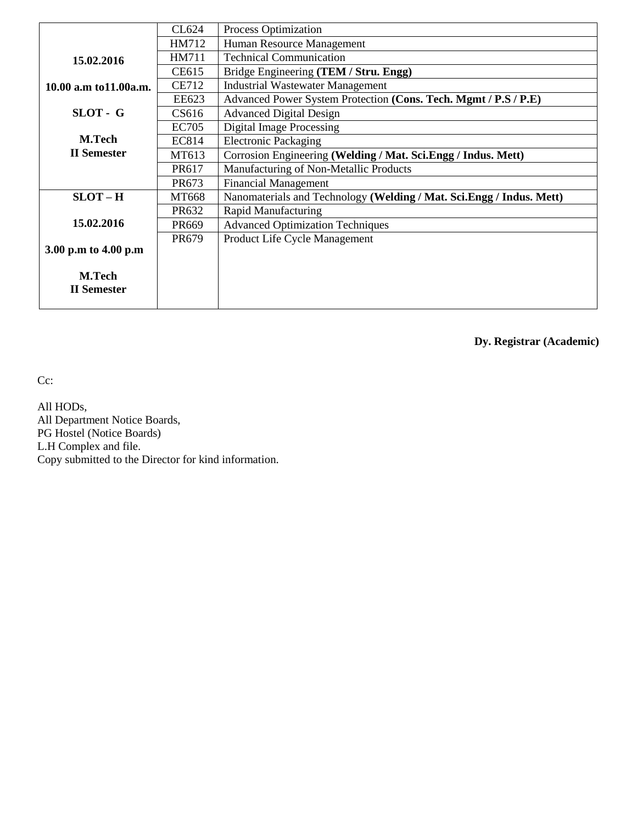|                         | CL624        | <b>Process Optimization</b>                                          |  |  |  |  |
|-------------------------|--------------|----------------------------------------------------------------------|--|--|--|--|
|                         | HM712        | Human Resource Management                                            |  |  |  |  |
| 15.02.2016              | HM711        | <b>Technical Communication</b>                                       |  |  |  |  |
|                         | CE615        | Bridge Engineering (TEM / Stru. Engg)                                |  |  |  |  |
| 10.00 a.m to 11.00 a.m. | <b>CE712</b> | <b>Industrial Wastewater Management</b>                              |  |  |  |  |
|                         | EE623        | Advanced Power System Protection (Cons. Tech. Mgmt / P.S / P.E)      |  |  |  |  |
| SLOT - G                | CS616        | <b>Advanced Digital Design</b>                                       |  |  |  |  |
|                         | <b>EC705</b> | <b>Digital Image Processing</b>                                      |  |  |  |  |
| <b>M.Tech</b>           | EC814        | <b>Electronic Packaging</b>                                          |  |  |  |  |
| <b>II</b> Semester      | MT613        | Corrosion Engineering (Welding / Mat. Sci. Engg / Indus. Mett)       |  |  |  |  |
|                         | PR617        | Manufacturing of Non-Metallic Products                               |  |  |  |  |
|                         | PR673        | <b>Financial Management</b>                                          |  |  |  |  |
| $SLOT-H$                | MT668        | Nanomaterials and Technology (Welding / Mat. Sci.Engg / Indus. Mett) |  |  |  |  |
|                         | PR632        | <b>Rapid Manufacturing</b>                                           |  |  |  |  |
| 15.02.2016              | <b>PR669</b> | <b>Advanced Optimization Techniques</b>                              |  |  |  |  |
|                         | <b>PR679</b> | Product Life Cycle Management                                        |  |  |  |  |
| 3.00 p.m to 4.00 p.m    |              |                                                                      |  |  |  |  |
|                         |              |                                                                      |  |  |  |  |
| <b>M.Tech</b>           |              |                                                                      |  |  |  |  |
| <b>II</b> Semester      |              |                                                                      |  |  |  |  |
|                         |              |                                                                      |  |  |  |  |

**Dy. Registrar (Academic)**

Cc:

All HODs, All Department Notice Boards, PG Hostel (Notice Boards) L.H Complex and file. Copy submitted to the Director for kind information.